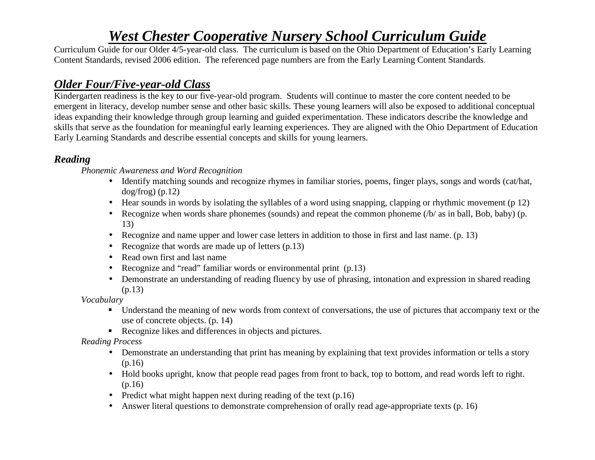Curriculum Guide for our Older 4/5-year-old class. The curriculum is based on the Ohio Department of Education's Early Learning Content Standards, revised 2006 edition. The referenced page numbers are from the Early Learning Content Standards.

# *Older Four/Five-year-old Class*

 Kindergarten readiness is the key to our five-year-old program. Students will continue to master the core content needed to be emergent in literacy, develop number sense and other basic skills. These young learners will also be exposed to additional conceptual ideas expanding their knowledge through group learning and guided experimentation. These indicators describe the knowledge and skills that serve as the foundation for meaningful early learning experiences. They are aligned with the Ohio Department of Education Early Learning Standards and describe essential concepts and skills for young learners.

# *Reading*

*Phonemic Awareness and Word Recognition* 

- Identify matching sounds and recognize rhymes in familiar stories, poems, finger plays, songs and words (cat/hat,  $dog/frog)$  (p.12)
- Hear sounds in words by isolating the syllables of a word using snapping, clapping or rhythmic movement (p 12)
- Recognize when words share phonemes (sounds) and repeat the common phoneme (/b/ as in ball, Bob, baby) (p. 13)
- Recognize and name upper and lower case letters in addition to those in first and last name. (p. 13)
- Recognize that words are made up of letters (p.13)
- Read own first and last name
- Recognize and "read" familiar words or environmental print (p.13)
- Demonstrate an understanding of reading fluency by use of phrasing, intonation and expression in shared reading (p.13)

*Vocabulary* 

- Understand the meaning of new words from context of conversations, the use of pictures that accompany text or the use of concrete objects. (p. 14)
- Recognize likes and differences in objects and pictures.

## *Reading Process*

- Demonstrate an understanding that print has meaning by explaining that text provides information or tells a story (p.16)
- Hold books upright, know that people read pages from front to back, top to bottom, and read words left to right. (p.16)
- Predict what might happen next during reading of the text (p.16)
- Answer literal questions to demonstrate comprehension of orally read age-appropriate texts (p. 16)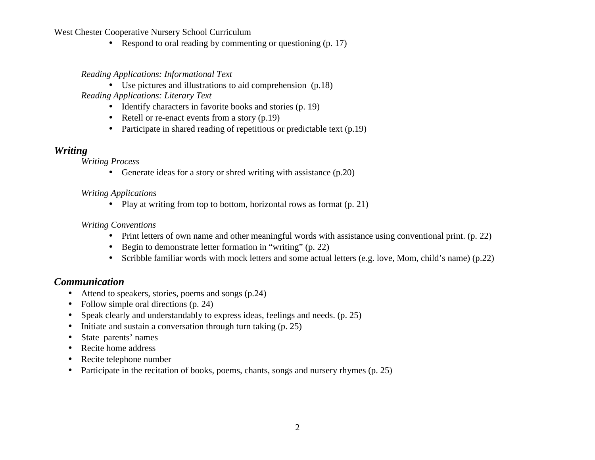• Respond to oral reading by commenting or questioning (p. 17)

#### *Reading Applications: Informational Text*

- Use pictures and illustrations to aid comprehension (p.18)  *Reading Applications: Literary Text* 
	- Identify characters in favorite books and stories (p. 19)
	- Retell or re-enact events from a story (p.19)
	- Participate in shared reading of repetitious or predictable text (p.19)

#### *Writing*

*Writing Process* 

• Generate ideas for a story or shred writing with assistance (p.20)

#### *Writing Applications*

• Play at writing from top to bottom, horizontal rows as format (p. 21)

#### *Writing Conventions*

- Print letters of own name and other meaningful words with assistance using conventional print. (p. 22)
- Begin to demonstrate letter formation in "writing" (p. 22)
- Scribble familiar words with mock letters and some actual letters (e.g. love, Mom, child's name) (p.22)

## *Communication*

- Attend to speakers, stories, poems and songs (p.24)
- Follow simple oral directions (p. 24)
- •Speak clearly and understandably to express ideas, feelings and needs. (p. 25)
- $\bullet$ Initiate and sustain a conversation through turn taking (p. 25)
- $\bullet$ State parents' names
- $\bullet$ Recite home address
- $\bullet$ Recite telephone number
- $\bullet$ Participate in the recitation of books, poems, chants, songs and nursery rhymes (p. 25)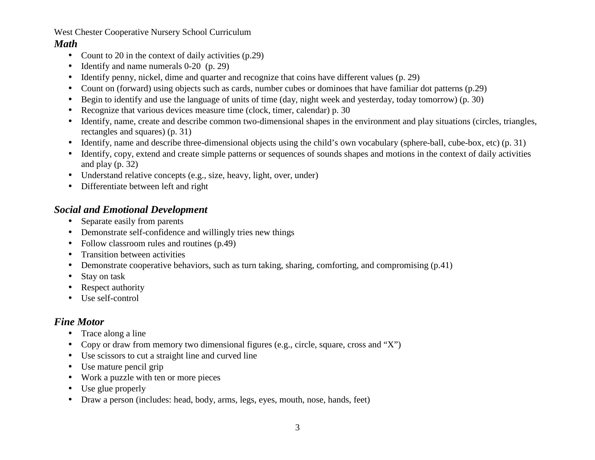## *Math*

- $\bullet$ Count to 20 in the context of daily activities (p.29)
- •Identify and name numerals 0-20 (p. 29)
- •Identify penny, nickel, dime and quarter and recognize that coins have different values (p. 29)
- •Count on (forward) using objects such as cards, number cubes or dominoes that have familiar dot patterns (p.29)
- •Begin to identify and use the language of units of time (day, night week and yesterday, today tomorrow) (p. 30)
- •Recognize that various devices measure time (clock, timer, calendar) p. 30
- $\bullet$  Identify, name, create and describe common two-dimensional shapes in the environment and play situations (circles, triangles, rectangles and squares) (p. 31)
- $\bullet$ Identify, name and describe three-dimensional objects using the child's own vocabulary (sphere-ball, cube-box, etc) (p. 31)
- $\bullet$  Identify, copy, extend and create simple patterns or sequences of sounds shapes and motions in the context of daily activities and play (p. 32)
- Understand relative concepts (e.g., size, heavy, light, over, under)
- Differentiate between left and right

## *Social and Emotional Development*

- Separate easily from parents
- Demonstrate self-confidence and willingly tries new things
- •Follow classroom rules and routines (p.49)
- •Transition between activities
- $\bullet$ Demonstrate cooperative behaviors, such as turn taking, sharing, comforting, and compromising (p.41)
- •Stay on task
- •Respect authority
- Use self-control

# *Fine Motor*

- Trace along a line •
- $\bullet$ Copy or draw from memory two dimensional figures (e.g., circle, square, cross and "X")
- Use scissors to cut a straight line and curved line
- $\bullet$ Use mature pencil grip
- •Work a puzzle with ten or more pieces
- •Use glue properly
- $\bullet$ Draw a person (includes: head, body, arms, legs, eyes, mouth, nose, hands, feet)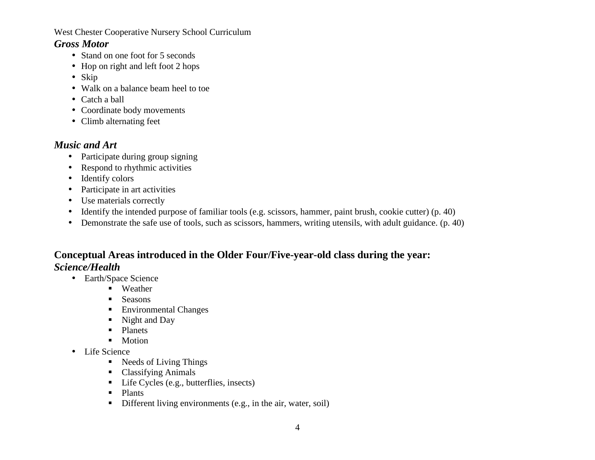## *Gross Motor*

- Stand on one foot for 5 seconds
- Hop on right and left foot 2 hops
- Skip
- Walk on a balance beam heel to toe
- Catch a ball
- Coordinate body movements
- Climb alternating feet

# *Music and Art*

- Participate during group signing
- $\bullet$ Respond to rhythmic activities
- Identify colors
- Participate in art activities
- $\bullet$ Use materials correctly
- $\bullet$ Identify the intended purpose of familiar tools (e.g. scissors, hammer, paint brush, cookie cutter) (p. 40)
- Demonstrate the safe use of tools, such as scissors, hammers, writing utensils, with adult guidance. (p. 40)

# **Conceptual Areas introduced in the Older Four/Five-year-old class during the year:** *Science/Health*

- Earth/Space Science
	- Weather
	- $\mathbf{u}$  . Seasons
	- Environmental Changes
	- Night and Day
	- Planets
	- Motion
- Life Science
	- Needs of Living Things
	- Classifying Animals
	- Life Cycles (e.g., butterflies, insects)
	- Plants
	- Different living environments (e.g., in the air, water, soil)